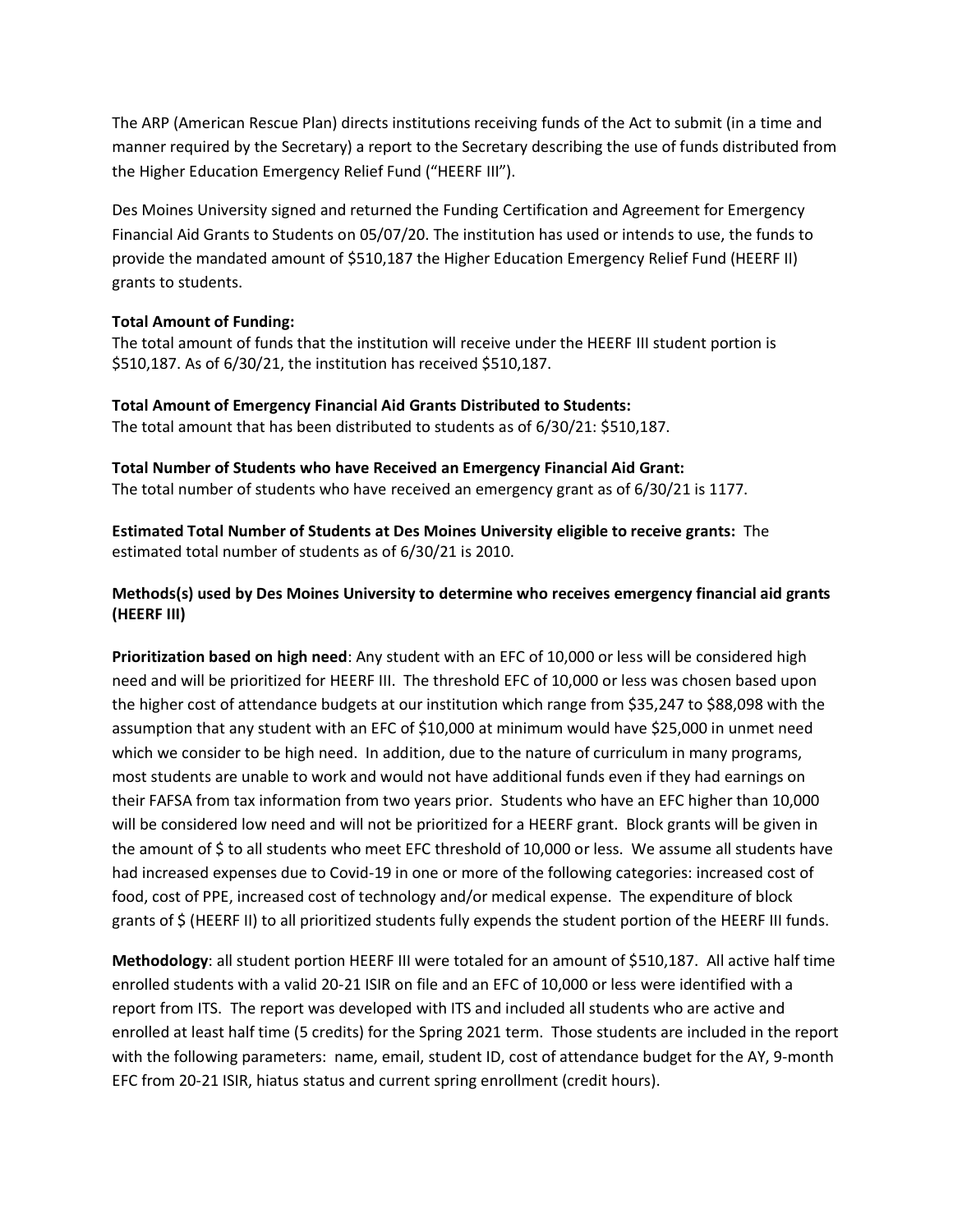The ARP (American Rescue Plan) directs institutions receiving funds of the Act to submit (in a time and manner required by the Secretary) a report to the Secretary describing the use of funds distributed from the Higher Education Emergency Relief Fund ("HEERF III").

Des Moines University signed and returned the Funding Certification and Agreement for Emergency Financial Aid Grants to Students on 05/07/20. The institution has used or intends to use, the funds to provide the mandated amount of \$510,187 the Higher Education Emergency Relief Fund (HEERF II) grants to students.

## **Total Amount of Funding:**

The total amount of funds that the institution will receive under the HEERF III student portion is \$510,187. As of 6/30/21, the institution has received \$510,187.

**Total Amount of Emergency Financial Aid Grants Distributed to Students:** The total amount that has been distributed to students as of 6/30/21: \$510,187.

**Total Number of Students who have Received an Emergency Financial Aid Grant:** The total number of students who have received an emergency grant as of 6/30/21 is 1177.

**Estimated Total Number of Students at Des Moines University eligible to receive grants:** The estimated total number of students as of 6/30/21 is 2010.

## **Methods(s) used by Des Moines University to determine who receives emergency financial aid grants (HEERF III)**

**Prioritization based on high need**: Any student with an EFC of 10,000 or less will be considered high need and will be prioritized for HEERF III. The threshold EFC of 10,000 or less was chosen based upon the higher cost of attendance budgets at our institution which range from \$35,247 to \$88,098 with the assumption that any student with an EFC of \$10,000 at minimum would have \$25,000 in unmet need which we consider to be high need. In addition, due to the nature of curriculum in many programs, most students are unable to work and would not have additional funds even if they had earnings on their FAFSA from tax information from two years prior. Students who have an EFC higher than 10,000 will be considered low need and will not be prioritized for a HEERF grant. Block grants will be given in the amount of \$ to all students who meet EFC threshold of 10,000 or less. We assume all students have had increased expenses due to Covid-19 in one or more of the following categories: increased cost of food, cost of PPE, increased cost of technology and/or medical expense. The expenditure of block grants of \$ (HEERF II) to all prioritized students fully expends the student portion of the HEERF III funds.

**Methodology**: all student portion HEERF III were totaled for an amount of \$510,187. All active half time enrolled students with a valid 20-21 ISIR on file and an EFC of 10,000 or less were identified with a report from ITS. The report was developed with ITS and included all students who are active and enrolled at least half time (5 credits) for the Spring 2021 term. Those students are included in the report with the following parameters: name, email, student ID, cost of attendance budget for the AY, 9-month EFC from 20-21 ISIR, hiatus status and current spring enrollment (credit hours).